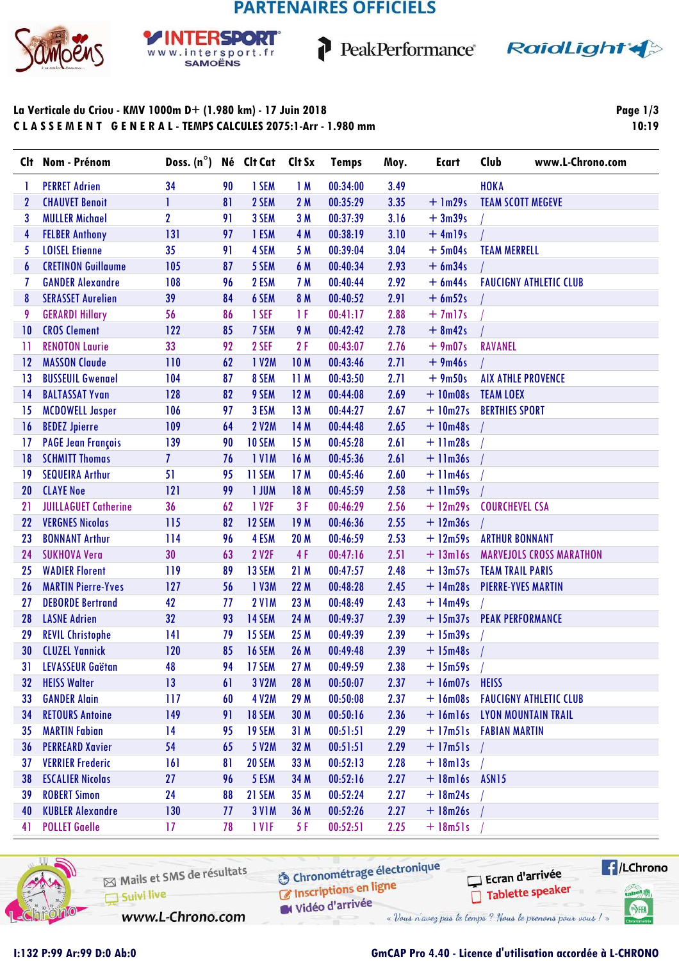# **PARTENAIRES OFFICIELS**

1



#### **SPORT** Þв www.intersport.fr **SAMOËNS**



### La Verticale du Criou - KMV 1000m D+ (1.980 km) - 17 Juin 2018 CLASSEMENT GENERAL-TEMPS CALCULES 2075:1-Arr - 1.980 mm

Page  $1/3$ 10:19

| <b>HOKA</b><br><b>PERRET Adrien</b><br>1 SEM<br>00:34:00<br>34<br>90<br>1M<br>3.49<br>1<br>2 SEM<br>00:35:29<br>3.35<br>$+$ 1m29s<br><b>CHAUVET Benoit</b><br>81<br>2 M<br><b>TEAM SCOTT MEGEVE</b><br>2<br>$\overline{2}$<br><b>MULLER Michael</b><br>3 SEM<br>3.16<br>3<br>91<br>3 M<br>00:37:39<br>$+3m39s$<br>131<br>3.10<br><b>FELBER Anthony</b><br>97<br>1 ESM<br>4 M<br>00:38:19<br>$+4m19s$<br>4<br>35<br><b>LOISEL Etienne</b><br>4 SEM<br>3.04<br>$+5m04s$<br><b>TEAM MERRELL</b><br>5<br>91<br>5 M<br>00:39:04<br><b>CRETINON Guillaume</b><br>105<br>5 SEM<br>00:40:34<br>2.93<br>$+6m34s$<br>87<br>6 M<br>6<br><b>GANDER Alexandre</b><br>108<br>96<br>2 ESM<br>00:40:44<br>2.92<br>$+ 6m44s$<br><b>FAUCIGNY ATHLETIC CLUB</b><br>7 M<br>7<br>39<br>6 SEM<br>2.91<br><b>SERASSET Aurelien</b><br>84<br>8 M<br>00:40:52<br>$+ 6m52s$<br>8<br><b>GERARDI Hillary</b><br>2.88<br>9<br>56<br>86<br>1 SEF<br>1 F<br>00:41:17<br>$+7m17s$<br><b>CROS Clement</b><br>122<br>2.78<br>85<br>7 SEM<br>9 M<br>00:42:42<br>$+ 8m42s$<br>10<br>33<br>2F<br><b>RAVANEL</b><br><b>RENOTON Laurie</b><br>92<br>2 SEF<br>00:43:07<br>2.76<br>$+9m07s$<br>11<br><b>MASSON Claude</b><br>62<br>1 V2M<br>00:43:46<br>2.71<br>$+9m46s$<br>110<br>10 <sub>M</sub><br>12<br><b>BUSSEUIL Gwenael</b><br>104<br>8 SEM<br>11M<br>00:43:50<br>2.71<br>$+9m50s$<br><b>AIX ATHLE PROVENCE</b><br>87<br>13<br>128<br>9 SEM<br>12M<br>00:44:08<br>2.69<br>$+10m08s$<br><b>TEAM LOEX</b><br><b>BALTASSAT Yvan</b><br>82<br>14<br>106<br>3 ESM<br>13 M<br>2.67<br>$+10m27s$<br><b>BERTHIES SPORT</b><br><b>MCDOWELL Jasper</b><br>97<br>00:44:27<br>15<br>2.65<br>109<br>64<br>2 V2M<br>14 M<br>00:44:48<br><b>BEDEZ Jpierre</b><br>$+10m48s$<br>16<br>139<br>10 SEM<br>15 M<br>2.61<br><b>PAGE Jean François</b><br>90<br>00:45:28<br>$+11m28s$<br>17<br><b>SCHMITT Thomas</b><br>$\overline{I}$<br>76<br><b>IVIM</b><br>16 M<br>00:45:36<br>2.61<br>$+$ 11 $m36s$<br>18<br><b>SEQUEIRA Arthur</b><br>51<br>11 SEM<br>17M<br>00:45:46<br>2.60<br>19<br>95<br>$+$ 11 $m46s$<br><b>CLAYE Noe</b><br>121<br>99<br>1 JUM<br>2.58<br>18 M<br>00:45:59<br>$+$ 11m59s<br>20<br><b>JUILLAGUET Catherine</b><br>36<br>62<br>3F<br>2.56<br><b>COURCHEVEL CSA</b><br>1 V2F<br>00:46:29<br>$+ 12m29s$<br>21<br><b>VERGNES Nicolas</b><br>115<br>82<br>12 SEM<br>2.55<br>22<br>19 M<br>00:46:36<br>$+ 12m36s$<br><b>BONNANT Arthur</b><br>96<br>20 M<br>00:46:59<br>2.53<br>$+ 12m59s$<br>114<br>4 ESM<br><b>ARTHUR BONNANT</b><br>23<br><b>SUKHOVA Vera</b><br>30<br>4F<br><b>MARVEJOLS CROSS MARATHON</b><br>63<br>2 V2F<br>00:47:16<br>2.51<br>$+ 13ml6s$<br>24<br>2.48<br><b>WADIER Florent</b><br>119<br>89<br>13 SEM<br>21 M<br>00:47:57<br>$+ 13m57s$<br><b>TEAM TRAIL PARIS</b><br>25<br>127<br>1 V3M<br>22 M<br>$+14m28s$<br><b>MARTIN Pierre-Yves</b><br>56<br>00:48:28<br>2.45<br><b>PIERRE-YVES MARTIN</b><br>26<br>42<br>23 M<br><b>DEBORDE Bertrand</b><br><b>2 V1M</b><br>00:48:49<br>2.43<br>$+14m49s$<br>27<br>77<br>32<br><b>LASNE Adrien</b><br>93<br>14 SEM<br>24 M<br>2.39<br>+ 15m37s PEAK PERFORMANCE<br>28<br>00:49:37<br>15 SEM<br>25 M<br>2.39<br>29<br><b>REVIL Christophe</b><br>141<br>79<br>00:49:39<br>$+ 15m39s$<br><b>CLUZEL Yannick</b><br>120<br>85<br><b>16 SEM</b><br>26 M<br>00:49:48<br>2.39<br>30<br>$+ 15m48s$<br>48<br>94<br>2.38<br>31<br>17 SEM<br>27 M<br>00:49:59<br><b>LEVASSEUR Gaëtan</b><br>$+ 15m59s$ /<br>13<br>00:50:07<br><b>HEISS Walter</b><br>3 V2M<br>28 M<br>2.37<br>$+ 16m07s$ HEISS<br>32<br>61<br><b>GANDER Alain</b><br>117<br>4 V2M<br>29 M<br>00:50:08<br>2.37<br>$+16m08s$<br><b>FAUCIGNY ATHLETIC CLUB</b><br>60<br>33<br>149<br><b>18 SEM</b><br>2.36<br><b>RETOURS Antoine</b><br>91<br>30 M<br>00:50:16<br>+ 16m16s LYON MOUNTAIN TRAIL<br>34<br><b>MARTIN Fabian</b><br>14<br>19 SEM<br>95<br>31 M<br>00:51:51<br>2.29<br>+17m51s FABIAN MARTIN<br>35<br><b>PERREARD Xavier</b><br>00:51:51<br>2.29<br>54<br>65<br>5 V2M<br>32 M<br>$+ 17m51s$<br>36<br><b>VERRIER Frederic</b><br>81<br><b>20 SEM</b><br>33 M<br>00:52:13<br>2.28<br>$+ 18m13s$<br>37<br>161<br><b>ESCALIER Nicolas</b><br>27<br>96<br>5 ESM<br>34 M<br>00:52:16<br>2.27<br>$+$ 18 $m$ 16s $-$ ASN15<br>38<br><b>ROBERT Simon</b><br>24<br>2.27<br>88<br>21 SEM<br>35 M<br>00:52:24<br>$+ 18m24s$<br>39<br><b>KUBLER Alexandre</b><br>130<br><b>3 V1M</b><br>36 M<br>00:52:26<br>2.27<br>$+ 18m26s$<br>40<br>77<br><b>POLLET Gaelle</b><br>5 F<br>00:52:51<br>17<br>1 VIF<br>2.25<br>$+$ 18m51s<br>78<br>41 | Clt | Nom - Prénom | Doss. $(n^{\circ})$ | Né Clt Cat | Clt Sx | <b>Temps</b> | Moy. | Ecart | Club<br>www.L-Chrono.com |
|----------------------------------------------------------------------------------------------------------------------------------------------------------------------------------------------------------------------------------------------------------------------------------------------------------------------------------------------------------------------------------------------------------------------------------------------------------------------------------------------------------------------------------------------------------------------------------------------------------------------------------------------------------------------------------------------------------------------------------------------------------------------------------------------------------------------------------------------------------------------------------------------------------------------------------------------------------------------------------------------------------------------------------------------------------------------------------------------------------------------------------------------------------------------------------------------------------------------------------------------------------------------------------------------------------------------------------------------------------------------------------------------------------------------------------------------------------------------------------------------------------------------------------------------------------------------------------------------------------------------------------------------------------------------------------------------------------------------------------------------------------------------------------------------------------------------------------------------------------------------------------------------------------------------------------------------------------------------------------------------------------------------------------------------------------------------------------------------------------------------------------------------------------------------------------------------------------------------------------------------------------------------------------------------------------------------------------------------------------------------------------------------------------------------------------------------------------------------------------------------------------------------------------------------------------------------------------------------------------------------------------------------------------------------------------------------------------------------------------------------------------------------------------------------------------------------------------------------------------------------------------------------------------------------------------------------------------------------------------------------------------------------------------------------------------------------------------------------------------------------------------------------------------------------------------------------------------------------------------------------------------------------------------------------------------------------------------------------------------------------------------------------------------------------------------------------------------------------------------------------------------------------------------------------------------------------------------------------------------------------------------------------------------------------------------------------------------------------------------------------------------------------------------------------------------------------------------------------------------------------------------------------------------------------------------------------------------------------------------------------------------------------------------------------------------------------------------------------------------------------------------------------------------------------------------------------------------------------------------------------------------------------------------------------------------------------------------------------------------------------------------------------------------------------------------------------------------------------------------------------------------------------|-----|--------------|---------------------|------------|--------|--------------|------|-------|--------------------------|
|                                                                                                                                                                                                                                                                                                                                                                                                                                                                                                                                                                                                                                                                                                                                                                                                                                                                                                                                                                                                                                                                                                                                                                                                                                                                                                                                                                                                                                                                                                                                                                                                                                                                                                                                                                                                                                                                                                                                                                                                                                                                                                                                                                                                                                                                                                                                                                                                                                                                                                                                                                                                                                                                                                                                                                                                                                                                                                                                                                                                                                                                                                                                                                                                                                                                                                                                                                                                                                                                                                                                                                                                                                                                                                                                                                                                                                                                                                                                                                                                                                                                                                                                                                                                                                                                                                                                                                                                                                                                                                                      |     |              |                     |            |        |              |      |       |                          |
|                                                                                                                                                                                                                                                                                                                                                                                                                                                                                                                                                                                                                                                                                                                                                                                                                                                                                                                                                                                                                                                                                                                                                                                                                                                                                                                                                                                                                                                                                                                                                                                                                                                                                                                                                                                                                                                                                                                                                                                                                                                                                                                                                                                                                                                                                                                                                                                                                                                                                                                                                                                                                                                                                                                                                                                                                                                                                                                                                                                                                                                                                                                                                                                                                                                                                                                                                                                                                                                                                                                                                                                                                                                                                                                                                                                                                                                                                                                                                                                                                                                                                                                                                                                                                                                                                                                                                                                                                                                                                                                      |     |              |                     |            |        |              |      |       |                          |
|                                                                                                                                                                                                                                                                                                                                                                                                                                                                                                                                                                                                                                                                                                                                                                                                                                                                                                                                                                                                                                                                                                                                                                                                                                                                                                                                                                                                                                                                                                                                                                                                                                                                                                                                                                                                                                                                                                                                                                                                                                                                                                                                                                                                                                                                                                                                                                                                                                                                                                                                                                                                                                                                                                                                                                                                                                                                                                                                                                                                                                                                                                                                                                                                                                                                                                                                                                                                                                                                                                                                                                                                                                                                                                                                                                                                                                                                                                                                                                                                                                                                                                                                                                                                                                                                                                                                                                                                                                                                                                                      |     |              |                     |            |        |              |      |       |                          |
|                                                                                                                                                                                                                                                                                                                                                                                                                                                                                                                                                                                                                                                                                                                                                                                                                                                                                                                                                                                                                                                                                                                                                                                                                                                                                                                                                                                                                                                                                                                                                                                                                                                                                                                                                                                                                                                                                                                                                                                                                                                                                                                                                                                                                                                                                                                                                                                                                                                                                                                                                                                                                                                                                                                                                                                                                                                                                                                                                                                                                                                                                                                                                                                                                                                                                                                                                                                                                                                                                                                                                                                                                                                                                                                                                                                                                                                                                                                                                                                                                                                                                                                                                                                                                                                                                                                                                                                                                                                                                                                      |     |              |                     |            |        |              |      |       |                          |
|                                                                                                                                                                                                                                                                                                                                                                                                                                                                                                                                                                                                                                                                                                                                                                                                                                                                                                                                                                                                                                                                                                                                                                                                                                                                                                                                                                                                                                                                                                                                                                                                                                                                                                                                                                                                                                                                                                                                                                                                                                                                                                                                                                                                                                                                                                                                                                                                                                                                                                                                                                                                                                                                                                                                                                                                                                                                                                                                                                                                                                                                                                                                                                                                                                                                                                                                                                                                                                                                                                                                                                                                                                                                                                                                                                                                                                                                                                                                                                                                                                                                                                                                                                                                                                                                                                                                                                                                                                                                                                                      |     |              |                     |            |        |              |      |       |                          |
|                                                                                                                                                                                                                                                                                                                                                                                                                                                                                                                                                                                                                                                                                                                                                                                                                                                                                                                                                                                                                                                                                                                                                                                                                                                                                                                                                                                                                                                                                                                                                                                                                                                                                                                                                                                                                                                                                                                                                                                                                                                                                                                                                                                                                                                                                                                                                                                                                                                                                                                                                                                                                                                                                                                                                                                                                                                                                                                                                                                                                                                                                                                                                                                                                                                                                                                                                                                                                                                                                                                                                                                                                                                                                                                                                                                                                                                                                                                                                                                                                                                                                                                                                                                                                                                                                                                                                                                                                                                                                                                      |     |              |                     |            |        |              |      |       |                          |
|                                                                                                                                                                                                                                                                                                                                                                                                                                                                                                                                                                                                                                                                                                                                                                                                                                                                                                                                                                                                                                                                                                                                                                                                                                                                                                                                                                                                                                                                                                                                                                                                                                                                                                                                                                                                                                                                                                                                                                                                                                                                                                                                                                                                                                                                                                                                                                                                                                                                                                                                                                                                                                                                                                                                                                                                                                                                                                                                                                                                                                                                                                                                                                                                                                                                                                                                                                                                                                                                                                                                                                                                                                                                                                                                                                                                                                                                                                                                                                                                                                                                                                                                                                                                                                                                                                                                                                                                                                                                                                                      |     |              |                     |            |        |              |      |       |                          |
|                                                                                                                                                                                                                                                                                                                                                                                                                                                                                                                                                                                                                                                                                                                                                                                                                                                                                                                                                                                                                                                                                                                                                                                                                                                                                                                                                                                                                                                                                                                                                                                                                                                                                                                                                                                                                                                                                                                                                                                                                                                                                                                                                                                                                                                                                                                                                                                                                                                                                                                                                                                                                                                                                                                                                                                                                                                                                                                                                                                                                                                                                                                                                                                                                                                                                                                                                                                                                                                                                                                                                                                                                                                                                                                                                                                                                                                                                                                                                                                                                                                                                                                                                                                                                                                                                                                                                                                                                                                                                                                      |     |              |                     |            |        |              |      |       |                          |
|                                                                                                                                                                                                                                                                                                                                                                                                                                                                                                                                                                                                                                                                                                                                                                                                                                                                                                                                                                                                                                                                                                                                                                                                                                                                                                                                                                                                                                                                                                                                                                                                                                                                                                                                                                                                                                                                                                                                                                                                                                                                                                                                                                                                                                                                                                                                                                                                                                                                                                                                                                                                                                                                                                                                                                                                                                                                                                                                                                                                                                                                                                                                                                                                                                                                                                                                                                                                                                                                                                                                                                                                                                                                                                                                                                                                                                                                                                                                                                                                                                                                                                                                                                                                                                                                                                                                                                                                                                                                                                                      |     |              |                     |            |        |              |      |       |                          |
|                                                                                                                                                                                                                                                                                                                                                                                                                                                                                                                                                                                                                                                                                                                                                                                                                                                                                                                                                                                                                                                                                                                                                                                                                                                                                                                                                                                                                                                                                                                                                                                                                                                                                                                                                                                                                                                                                                                                                                                                                                                                                                                                                                                                                                                                                                                                                                                                                                                                                                                                                                                                                                                                                                                                                                                                                                                                                                                                                                                                                                                                                                                                                                                                                                                                                                                                                                                                                                                                                                                                                                                                                                                                                                                                                                                                                                                                                                                                                                                                                                                                                                                                                                                                                                                                                                                                                                                                                                                                                                                      |     |              |                     |            |        |              |      |       |                          |
|                                                                                                                                                                                                                                                                                                                                                                                                                                                                                                                                                                                                                                                                                                                                                                                                                                                                                                                                                                                                                                                                                                                                                                                                                                                                                                                                                                                                                                                                                                                                                                                                                                                                                                                                                                                                                                                                                                                                                                                                                                                                                                                                                                                                                                                                                                                                                                                                                                                                                                                                                                                                                                                                                                                                                                                                                                                                                                                                                                                                                                                                                                                                                                                                                                                                                                                                                                                                                                                                                                                                                                                                                                                                                                                                                                                                                                                                                                                                                                                                                                                                                                                                                                                                                                                                                                                                                                                                                                                                                                                      |     |              |                     |            |        |              |      |       |                          |
|                                                                                                                                                                                                                                                                                                                                                                                                                                                                                                                                                                                                                                                                                                                                                                                                                                                                                                                                                                                                                                                                                                                                                                                                                                                                                                                                                                                                                                                                                                                                                                                                                                                                                                                                                                                                                                                                                                                                                                                                                                                                                                                                                                                                                                                                                                                                                                                                                                                                                                                                                                                                                                                                                                                                                                                                                                                                                                                                                                                                                                                                                                                                                                                                                                                                                                                                                                                                                                                                                                                                                                                                                                                                                                                                                                                                                                                                                                                                                                                                                                                                                                                                                                                                                                                                                                                                                                                                                                                                                                                      |     |              |                     |            |        |              |      |       |                          |
|                                                                                                                                                                                                                                                                                                                                                                                                                                                                                                                                                                                                                                                                                                                                                                                                                                                                                                                                                                                                                                                                                                                                                                                                                                                                                                                                                                                                                                                                                                                                                                                                                                                                                                                                                                                                                                                                                                                                                                                                                                                                                                                                                                                                                                                                                                                                                                                                                                                                                                                                                                                                                                                                                                                                                                                                                                                                                                                                                                                                                                                                                                                                                                                                                                                                                                                                                                                                                                                                                                                                                                                                                                                                                                                                                                                                                                                                                                                                                                                                                                                                                                                                                                                                                                                                                                                                                                                                                                                                                                                      |     |              |                     |            |        |              |      |       |                          |
|                                                                                                                                                                                                                                                                                                                                                                                                                                                                                                                                                                                                                                                                                                                                                                                                                                                                                                                                                                                                                                                                                                                                                                                                                                                                                                                                                                                                                                                                                                                                                                                                                                                                                                                                                                                                                                                                                                                                                                                                                                                                                                                                                                                                                                                                                                                                                                                                                                                                                                                                                                                                                                                                                                                                                                                                                                                                                                                                                                                                                                                                                                                                                                                                                                                                                                                                                                                                                                                                                                                                                                                                                                                                                                                                                                                                                                                                                                                                                                                                                                                                                                                                                                                                                                                                                                                                                                                                                                                                                                                      |     |              |                     |            |        |              |      |       |                          |
|                                                                                                                                                                                                                                                                                                                                                                                                                                                                                                                                                                                                                                                                                                                                                                                                                                                                                                                                                                                                                                                                                                                                                                                                                                                                                                                                                                                                                                                                                                                                                                                                                                                                                                                                                                                                                                                                                                                                                                                                                                                                                                                                                                                                                                                                                                                                                                                                                                                                                                                                                                                                                                                                                                                                                                                                                                                                                                                                                                                                                                                                                                                                                                                                                                                                                                                                                                                                                                                                                                                                                                                                                                                                                                                                                                                                                                                                                                                                                                                                                                                                                                                                                                                                                                                                                                                                                                                                                                                                                                                      |     |              |                     |            |        |              |      |       |                          |
|                                                                                                                                                                                                                                                                                                                                                                                                                                                                                                                                                                                                                                                                                                                                                                                                                                                                                                                                                                                                                                                                                                                                                                                                                                                                                                                                                                                                                                                                                                                                                                                                                                                                                                                                                                                                                                                                                                                                                                                                                                                                                                                                                                                                                                                                                                                                                                                                                                                                                                                                                                                                                                                                                                                                                                                                                                                                                                                                                                                                                                                                                                                                                                                                                                                                                                                                                                                                                                                                                                                                                                                                                                                                                                                                                                                                                                                                                                                                                                                                                                                                                                                                                                                                                                                                                                                                                                                                                                                                                                                      |     |              |                     |            |        |              |      |       |                          |
|                                                                                                                                                                                                                                                                                                                                                                                                                                                                                                                                                                                                                                                                                                                                                                                                                                                                                                                                                                                                                                                                                                                                                                                                                                                                                                                                                                                                                                                                                                                                                                                                                                                                                                                                                                                                                                                                                                                                                                                                                                                                                                                                                                                                                                                                                                                                                                                                                                                                                                                                                                                                                                                                                                                                                                                                                                                                                                                                                                                                                                                                                                                                                                                                                                                                                                                                                                                                                                                                                                                                                                                                                                                                                                                                                                                                                                                                                                                                                                                                                                                                                                                                                                                                                                                                                                                                                                                                                                                                                                                      |     |              |                     |            |        |              |      |       |                          |
|                                                                                                                                                                                                                                                                                                                                                                                                                                                                                                                                                                                                                                                                                                                                                                                                                                                                                                                                                                                                                                                                                                                                                                                                                                                                                                                                                                                                                                                                                                                                                                                                                                                                                                                                                                                                                                                                                                                                                                                                                                                                                                                                                                                                                                                                                                                                                                                                                                                                                                                                                                                                                                                                                                                                                                                                                                                                                                                                                                                                                                                                                                                                                                                                                                                                                                                                                                                                                                                                                                                                                                                                                                                                                                                                                                                                                                                                                                                                                                                                                                                                                                                                                                                                                                                                                                                                                                                                                                                                                                                      |     |              |                     |            |        |              |      |       |                          |
|                                                                                                                                                                                                                                                                                                                                                                                                                                                                                                                                                                                                                                                                                                                                                                                                                                                                                                                                                                                                                                                                                                                                                                                                                                                                                                                                                                                                                                                                                                                                                                                                                                                                                                                                                                                                                                                                                                                                                                                                                                                                                                                                                                                                                                                                                                                                                                                                                                                                                                                                                                                                                                                                                                                                                                                                                                                                                                                                                                                                                                                                                                                                                                                                                                                                                                                                                                                                                                                                                                                                                                                                                                                                                                                                                                                                                                                                                                                                                                                                                                                                                                                                                                                                                                                                                                                                                                                                                                                                                                                      |     |              |                     |            |        |              |      |       |                          |
|                                                                                                                                                                                                                                                                                                                                                                                                                                                                                                                                                                                                                                                                                                                                                                                                                                                                                                                                                                                                                                                                                                                                                                                                                                                                                                                                                                                                                                                                                                                                                                                                                                                                                                                                                                                                                                                                                                                                                                                                                                                                                                                                                                                                                                                                                                                                                                                                                                                                                                                                                                                                                                                                                                                                                                                                                                                                                                                                                                                                                                                                                                                                                                                                                                                                                                                                                                                                                                                                                                                                                                                                                                                                                                                                                                                                                                                                                                                                                                                                                                                                                                                                                                                                                                                                                                                                                                                                                                                                                                                      |     |              |                     |            |        |              |      |       |                          |
|                                                                                                                                                                                                                                                                                                                                                                                                                                                                                                                                                                                                                                                                                                                                                                                                                                                                                                                                                                                                                                                                                                                                                                                                                                                                                                                                                                                                                                                                                                                                                                                                                                                                                                                                                                                                                                                                                                                                                                                                                                                                                                                                                                                                                                                                                                                                                                                                                                                                                                                                                                                                                                                                                                                                                                                                                                                                                                                                                                                                                                                                                                                                                                                                                                                                                                                                                                                                                                                                                                                                                                                                                                                                                                                                                                                                                                                                                                                                                                                                                                                                                                                                                                                                                                                                                                                                                                                                                                                                                                                      |     |              |                     |            |        |              |      |       |                          |
|                                                                                                                                                                                                                                                                                                                                                                                                                                                                                                                                                                                                                                                                                                                                                                                                                                                                                                                                                                                                                                                                                                                                                                                                                                                                                                                                                                                                                                                                                                                                                                                                                                                                                                                                                                                                                                                                                                                                                                                                                                                                                                                                                                                                                                                                                                                                                                                                                                                                                                                                                                                                                                                                                                                                                                                                                                                                                                                                                                                                                                                                                                                                                                                                                                                                                                                                                                                                                                                                                                                                                                                                                                                                                                                                                                                                                                                                                                                                                                                                                                                                                                                                                                                                                                                                                                                                                                                                                                                                                                                      |     |              |                     |            |        |              |      |       |                          |
|                                                                                                                                                                                                                                                                                                                                                                                                                                                                                                                                                                                                                                                                                                                                                                                                                                                                                                                                                                                                                                                                                                                                                                                                                                                                                                                                                                                                                                                                                                                                                                                                                                                                                                                                                                                                                                                                                                                                                                                                                                                                                                                                                                                                                                                                                                                                                                                                                                                                                                                                                                                                                                                                                                                                                                                                                                                                                                                                                                                                                                                                                                                                                                                                                                                                                                                                                                                                                                                                                                                                                                                                                                                                                                                                                                                                                                                                                                                                                                                                                                                                                                                                                                                                                                                                                                                                                                                                                                                                                                                      |     |              |                     |            |        |              |      |       |                          |
|                                                                                                                                                                                                                                                                                                                                                                                                                                                                                                                                                                                                                                                                                                                                                                                                                                                                                                                                                                                                                                                                                                                                                                                                                                                                                                                                                                                                                                                                                                                                                                                                                                                                                                                                                                                                                                                                                                                                                                                                                                                                                                                                                                                                                                                                                                                                                                                                                                                                                                                                                                                                                                                                                                                                                                                                                                                                                                                                                                                                                                                                                                                                                                                                                                                                                                                                                                                                                                                                                                                                                                                                                                                                                                                                                                                                                                                                                                                                                                                                                                                                                                                                                                                                                                                                                                                                                                                                                                                                                                                      |     |              |                     |            |        |              |      |       |                          |
|                                                                                                                                                                                                                                                                                                                                                                                                                                                                                                                                                                                                                                                                                                                                                                                                                                                                                                                                                                                                                                                                                                                                                                                                                                                                                                                                                                                                                                                                                                                                                                                                                                                                                                                                                                                                                                                                                                                                                                                                                                                                                                                                                                                                                                                                                                                                                                                                                                                                                                                                                                                                                                                                                                                                                                                                                                                                                                                                                                                                                                                                                                                                                                                                                                                                                                                                                                                                                                                                                                                                                                                                                                                                                                                                                                                                                                                                                                                                                                                                                                                                                                                                                                                                                                                                                                                                                                                                                                                                                                                      |     |              |                     |            |        |              |      |       |                          |
|                                                                                                                                                                                                                                                                                                                                                                                                                                                                                                                                                                                                                                                                                                                                                                                                                                                                                                                                                                                                                                                                                                                                                                                                                                                                                                                                                                                                                                                                                                                                                                                                                                                                                                                                                                                                                                                                                                                                                                                                                                                                                                                                                                                                                                                                                                                                                                                                                                                                                                                                                                                                                                                                                                                                                                                                                                                                                                                                                                                                                                                                                                                                                                                                                                                                                                                                                                                                                                                                                                                                                                                                                                                                                                                                                                                                                                                                                                                                                                                                                                                                                                                                                                                                                                                                                                                                                                                                                                                                                                                      |     |              |                     |            |        |              |      |       |                          |
|                                                                                                                                                                                                                                                                                                                                                                                                                                                                                                                                                                                                                                                                                                                                                                                                                                                                                                                                                                                                                                                                                                                                                                                                                                                                                                                                                                                                                                                                                                                                                                                                                                                                                                                                                                                                                                                                                                                                                                                                                                                                                                                                                                                                                                                                                                                                                                                                                                                                                                                                                                                                                                                                                                                                                                                                                                                                                                                                                                                                                                                                                                                                                                                                                                                                                                                                                                                                                                                                                                                                                                                                                                                                                                                                                                                                                                                                                                                                                                                                                                                                                                                                                                                                                                                                                                                                                                                                                                                                                                                      |     |              |                     |            |        |              |      |       |                          |
|                                                                                                                                                                                                                                                                                                                                                                                                                                                                                                                                                                                                                                                                                                                                                                                                                                                                                                                                                                                                                                                                                                                                                                                                                                                                                                                                                                                                                                                                                                                                                                                                                                                                                                                                                                                                                                                                                                                                                                                                                                                                                                                                                                                                                                                                                                                                                                                                                                                                                                                                                                                                                                                                                                                                                                                                                                                                                                                                                                                                                                                                                                                                                                                                                                                                                                                                                                                                                                                                                                                                                                                                                                                                                                                                                                                                                                                                                                                                                                                                                                                                                                                                                                                                                                                                                                                                                                                                                                                                                                                      |     |              |                     |            |        |              |      |       |                          |
|                                                                                                                                                                                                                                                                                                                                                                                                                                                                                                                                                                                                                                                                                                                                                                                                                                                                                                                                                                                                                                                                                                                                                                                                                                                                                                                                                                                                                                                                                                                                                                                                                                                                                                                                                                                                                                                                                                                                                                                                                                                                                                                                                                                                                                                                                                                                                                                                                                                                                                                                                                                                                                                                                                                                                                                                                                                                                                                                                                                                                                                                                                                                                                                                                                                                                                                                                                                                                                                                                                                                                                                                                                                                                                                                                                                                                                                                                                                                                                                                                                                                                                                                                                                                                                                                                                                                                                                                                                                                                                                      |     |              |                     |            |        |              |      |       |                          |
|                                                                                                                                                                                                                                                                                                                                                                                                                                                                                                                                                                                                                                                                                                                                                                                                                                                                                                                                                                                                                                                                                                                                                                                                                                                                                                                                                                                                                                                                                                                                                                                                                                                                                                                                                                                                                                                                                                                                                                                                                                                                                                                                                                                                                                                                                                                                                                                                                                                                                                                                                                                                                                                                                                                                                                                                                                                                                                                                                                                                                                                                                                                                                                                                                                                                                                                                                                                                                                                                                                                                                                                                                                                                                                                                                                                                                                                                                                                                                                                                                                                                                                                                                                                                                                                                                                                                                                                                                                                                                                                      |     |              |                     |            |        |              |      |       |                          |
|                                                                                                                                                                                                                                                                                                                                                                                                                                                                                                                                                                                                                                                                                                                                                                                                                                                                                                                                                                                                                                                                                                                                                                                                                                                                                                                                                                                                                                                                                                                                                                                                                                                                                                                                                                                                                                                                                                                                                                                                                                                                                                                                                                                                                                                                                                                                                                                                                                                                                                                                                                                                                                                                                                                                                                                                                                                                                                                                                                                                                                                                                                                                                                                                                                                                                                                                                                                                                                                                                                                                                                                                                                                                                                                                                                                                                                                                                                                                                                                                                                                                                                                                                                                                                                                                                                                                                                                                                                                                                                                      |     |              |                     |            |        |              |      |       |                          |
|                                                                                                                                                                                                                                                                                                                                                                                                                                                                                                                                                                                                                                                                                                                                                                                                                                                                                                                                                                                                                                                                                                                                                                                                                                                                                                                                                                                                                                                                                                                                                                                                                                                                                                                                                                                                                                                                                                                                                                                                                                                                                                                                                                                                                                                                                                                                                                                                                                                                                                                                                                                                                                                                                                                                                                                                                                                                                                                                                                                                                                                                                                                                                                                                                                                                                                                                                                                                                                                                                                                                                                                                                                                                                                                                                                                                                                                                                                                                                                                                                                                                                                                                                                                                                                                                                                                                                                                                                                                                                                                      |     |              |                     |            |        |              |      |       |                          |
|                                                                                                                                                                                                                                                                                                                                                                                                                                                                                                                                                                                                                                                                                                                                                                                                                                                                                                                                                                                                                                                                                                                                                                                                                                                                                                                                                                                                                                                                                                                                                                                                                                                                                                                                                                                                                                                                                                                                                                                                                                                                                                                                                                                                                                                                                                                                                                                                                                                                                                                                                                                                                                                                                                                                                                                                                                                                                                                                                                                                                                                                                                                                                                                                                                                                                                                                                                                                                                                                                                                                                                                                                                                                                                                                                                                                                                                                                                                                                                                                                                                                                                                                                                                                                                                                                                                                                                                                                                                                                                                      |     |              |                     |            |        |              |      |       |                          |
|                                                                                                                                                                                                                                                                                                                                                                                                                                                                                                                                                                                                                                                                                                                                                                                                                                                                                                                                                                                                                                                                                                                                                                                                                                                                                                                                                                                                                                                                                                                                                                                                                                                                                                                                                                                                                                                                                                                                                                                                                                                                                                                                                                                                                                                                                                                                                                                                                                                                                                                                                                                                                                                                                                                                                                                                                                                                                                                                                                                                                                                                                                                                                                                                                                                                                                                                                                                                                                                                                                                                                                                                                                                                                                                                                                                                                                                                                                                                                                                                                                                                                                                                                                                                                                                                                                                                                                                                                                                                                                                      |     |              |                     |            |        |              |      |       |                          |
|                                                                                                                                                                                                                                                                                                                                                                                                                                                                                                                                                                                                                                                                                                                                                                                                                                                                                                                                                                                                                                                                                                                                                                                                                                                                                                                                                                                                                                                                                                                                                                                                                                                                                                                                                                                                                                                                                                                                                                                                                                                                                                                                                                                                                                                                                                                                                                                                                                                                                                                                                                                                                                                                                                                                                                                                                                                                                                                                                                                                                                                                                                                                                                                                                                                                                                                                                                                                                                                                                                                                                                                                                                                                                                                                                                                                                                                                                                                                                                                                                                                                                                                                                                                                                                                                                                                                                                                                                                                                                                                      |     |              |                     |            |        |              |      |       |                          |
|                                                                                                                                                                                                                                                                                                                                                                                                                                                                                                                                                                                                                                                                                                                                                                                                                                                                                                                                                                                                                                                                                                                                                                                                                                                                                                                                                                                                                                                                                                                                                                                                                                                                                                                                                                                                                                                                                                                                                                                                                                                                                                                                                                                                                                                                                                                                                                                                                                                                                                                                                                                                                                                                                                                                                                                                                                                                                                                                                                                                                                                                                                                                                                                                                                                                                                                                                                                                                                                                                                                                                                                                                                                                                                                                                                                                                                                                                                                                                                                                                                                                                                                                                                                                                                                                                                                                                                                                                                                                                                                      |     |              |                     |            |        |              |      |       |                          |
|                                                                                                                                                                                                                                                                                                                                                                                                                                                                                                                                                                                                                                                                                                                                                                                                                                                                                                                                                                                                                                                                                                                                                                                                                                                                                                                                                                                                                                                                                                                                                                                                                                                                                                                                                                                                                                                                                                                                                                                                                                                                                                                                                                                                                                                                                                                                                                                                                                                                                                                                                                                                                                                                                                                                                                                                                                                                                                                                                                                                                                                                                                                                                                                                                                                                                                                                                                                                                                                                                                                                                                                                                                                                                                                                                                                                                                                                                                                                                                                                                                                                                                                                                                                                                                                                                                                                                                                                                                                                                                                      |     |              |                     |            |        |              |      |       |                          |
|                                                                                                                                                                                                                                                                                                                                                                                                                                                                                                                                                                                                                                                                                                                                                                                                                                                                                                                                                                                                                                                                                                                                                                                                                                                                                                                                                                                                                                                                                                                                                                                                                                                                                                                                                                                                                                                                                                                                                                                                                                                                                                                                                                                                                                                                                                                                                                                                                                                                                                                                                                                                                                                                                                                                                                                                                                                                                                                                                                                                                                                                                                                                                                                                                                                                                                                                                                                                                                                                                                                                                                                                                                                                                                                                                                                                                                                                                                                                                                                                                                                                                                                                                                                                                                                                                                                                                                                                                                                                                                                      |     |              |                     |            |        |              |      |       |                          |
|                                                                                                                                                                                                                                                                                                                                                                                                                                                                                                                                                                                                                                                                                                                                                                                                                                                                                                                                                                                                                                                                                                                                                                                                                                                                                                                                                                                                                                                                                                                                                                                                                                                                                                                                                                                                                                                                                                                                                                                                                                                                                                                                                                                                                                                                                                                                                                                                                                                                                                                                                                                                                                                                                                                                                                                                                                                                                                                                                                                                                                                                                                                                                                                                                                                                                                                                                                                                                                                                                                                                                                                                                                                                                                                                                                                                                                                                                                                                                                                                                                                                                                                                                                                                                                                                                                                                                                                                                                                                                                                      |     |              |                     |            |        |              |      |       |                          |
|                                                                                                                                                                                                                                                                                                                                                                                                                                                                                                                                                                                                                                                                                                                                                                                                                                                                                                                                                                                                                                                                                                                                                                                                                                                                                                                                                                                                                                                                                                                                                                                                                                                                                                                                                                                                                                                                                                                                                                                                                                                                                                                                                                                                                                                                                                                                                                                                                                                                                                                                                                                                                                                                                                                                                                                                                                                                                                                                                                                                                                                                                                                                                                                                                                                                                                                                                                                                                                                                                                                                                                                                                                                                                                                                                                                                                                                                                                                                                                                                                                                                                                                                                                                                                                                                                                                                                                                                                                                                                                                      |     |              |                     |            |        |              |      |       |                          |
|                                                                                                                                                                                                                                                                                                                                                                                                                                                                                                                                                                                                                                                                                                                                                                                                                                                                                                                                                                                                                                                                                                                                                                                                                                                                                                                                                                                                                                                                                                                                                                                                                                                                                                                                                                                                                                                                                                                                                                                                                                                                                                                                                                                                                                                                                                                                                                                                                                                                                                                                                                                                                                                                                                                                                                                                                                                                                                                                                                                                                                                                                                                                                                                                                                                                                                                                                                                                                                                                                                                                                                                                                                                                                                                                                                                                                                                                                                                                                                                                                                                                                                                                                                                                                                                                                                                                                                                                                                                                                                                      |     |              |                     |            |        |              |      |       |                          |



Mails et SMS de résultats Suivi live

www.L-Chrono.com

Chronométrage électronique

Inscriptions en ligne Vidéo d'arrivée

Ecran d'arrivée Tablette speaker

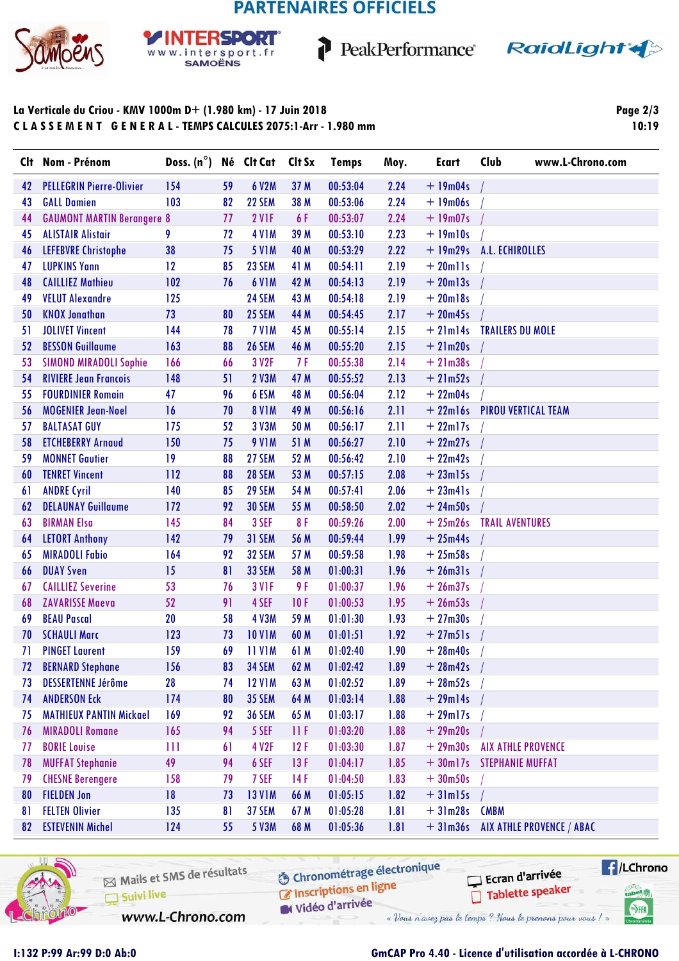# **PARTENAIRES OFFICIELS**

1



#### **SPORT** Þв www.intersport.fr **SAMOËNS**



### La Verticale du Criou - KMV 1000m D+ (1.980 km) - 17 Juin 2018 CLASSEMENT GENERAL-TEMPS CALCULES 2075:1-Arr - 1.980 mm

Page  $2/3$ 10:19

| Clt | Nom - Prénom                      | Doss. $(n^{\circ})$ |    | Né Clt Cat    | Clt Sx | <b>Temps</b> | Moy. | <b>Ecart</b>  | Club<br>www.L-Chrono.com           |
|-----|-----------------------------------|---------------------|----|---------------|--------|--------------|------|---------------|------------------------------------|
| 42  | <b>PELLEGRIN Pierre-Olivier</b>   | 154                 | 59 | 6 V2M         | 37 M   | 00:53:04     | 2.24 | $+19m04s$     |                                    |
| 43  | <b>GALL Damien</b>                | 103                 | 82 | 22 SEM        | 38 M   | 00:53:06     | 2.24 | $+19m06s$     |                                    |
| 44  | <b>GAUMONT MARTIN Berangere 8</b> |                     | 77 | 2 VIF         | 6 F    | 00:53:07     | 2.24 | $+19m07s$     |                                    |
| 45  | <b>ALISTAIR Alistair</b>          | 9                   | 72 | <b>4 V1M</b>  | 39 M   | 00:53:10     | 2.23 | $+19$ m $10s$ |                                    |
| 46  | <b>LEFEBVRE Christophe</b>        | 38                  | 75 | <b>5 V1M</b>  | 40 M   | 00:53:29     | 2.22 | $+19m29s$     | A.L. ECHIROLLES                    |
| 47  | <b>LUPKINS Yann</b>               | 12                  | 85 | 23 SEM        | 41 M   | 00:54:11     | 2.19 | $+ 20$ mlls   |                                    |
| 48  | <b>CAILLIEZ Mathieu</b>           | 102                 | 76 | <b>6 V1M</b>  | 42 M   | 00:54:13     | 2.19 | $+20$ ml $3s$ |                                    |
| 49  | <b>VELUT Alexandre</b>            | 125                 |    | 24 SEM        | 43 M   | 00:54:18     | 2.19 | $+20$ ml8s    |                                    |
| 50  | <b>KNOX Jonathan</b>              | 73                  | 80 | 25 SEM        | 44 M   | 00:54:45     | 2.17 | $+20m45s$     |                                    |
| 51  | <b>JOLIVET Vincent</b>            | 144                 | 78 | <b>7 V1M</b>  | 45 M   | 00:55:14     | 2.15 | $+21ml4s$     | <b>TRAILERS DU MOLE</b>            |
| 52  | <b>BESSON Guillaume</b>           | 163                 | 88 | <b>26 SEM</b> | 46 M   | 00:55:20     | 2.15 | $+21m20s$     |                                    |
| 53  | <b>SIMOND MIRADOLI Sophie</b>     | 166                 | 66 | 3 V2F         | 7 F    | 00:55:38     | 2.14 | $+21m38s$     |                                    |
| 54  | <b>RIVIERE Jean Francois</b>      | 148                 | 51 | 2 V3M         | 47 M   | 00:55:52     | 2.13 | $+21m52s$     |                                    |
| 55  | <b>FOURDINIER Romain</b>          | 47                  | 96 | 6 ESM         | 48 M   | 00:56:04     | 2.12 | $+22m04s$     |                                    |
| 56  | <b>MOGENIER Jean-Noel</b>         | 16                  | 70 | <b>8 V1M</b>  | 49 M   | 00:56:16     | 2.11 | $+22$ ml6s    | <b>PIROU VERTICAL TEAM</b>         |
| 57  | <b>BALTASAT GUY</b>               | 175                 | 52 | 3 V3M         | 50 M   | 00:56:17     | 2.11 | $+22$ ml7s    |                                    |
| 58  | <b>ETCHEBERRY Arnaud</b>          | 150                 | 75 | <b>9 V1M</b>  | 51 M   | 00:56:27     | 2.10 | $+22m27s$     |                                    |
| 59  | <b>MONNET Gautier</b>             | 19                  | 88 | 27 SEM        | 52 M   | 00:56:42     | 2.10 | $+22m42s$     |                                    |
| 60  | <b>TENRET Vincent</b>             | 112                 | 88 | <b>28 SEM</b> | 53 M   | 00:57:15     | 2.08 | $+23ml5s$     |                                    |
| 61  | <b>ANDRE Cyril</b>                | 140                 | 85 | 29 SEM        | 54 M   | 00:57:41     | 2.06 | $+ 23m41s$    |                                    |
| 62  | <b>DELAUNAY Guillaume</b>         | 172                 | 92 | <b>30 SEM</b> | 55 M   | 00:58:50     | 2.02 | $+24m50s$     |                                    |
| 63  | <b>BIRMAN Elsa</b>                | 145                 | 84 | 3 SEF         | 8F     | 00:59:26     | 2.00 | $+25m26s$     | <b>TRAIL AVENTURES</b>             |
| 64  | <b>LETORT Anthony</b>             | 142                 | 79 | 31 SEM        | 56 M   | 00:59:44     | 1.99 | $+25m44s$     |                                    |
| 65  | <b>MIRADOLI Fabio</b>             | 164                 | 92 | 32 SEM        | 57 M   | 00:59:58     | 1.98 | $+25m58s$     |                                    |
| 66  | <b>DUAY Sven</b>                  | 15                  | 81 | 33 SEM        | 58 M   | 01:00:31     | 1.96 | $+26m31s$     |                                    |
| 67  | <b>CAILLIEZ Severine</b>          | 53                  | 76 | <b>3 V1F</b>  | 9 F    | 01:00:37     | 1.96 | $+26m37s$     |                                    |
| 68  | <b>ZAVARISSE Maeva</b>            | 52                  | 91 | 4 SEF         | 10F    | 01:00:53     | 1.95 | $+26m53s$     |                                    |
| 69  | <b>BEAU Pascal</b>                | 20                  | 58 | <b>4 V3M</b>  | 59 M   | 01:01:30     | 1.93 | $+27m30s$     |                                    |
| 70  | <b>SCHAULI Marc</b>               | 123                 | 73 | <b>10 V1M</b> | 60 M   | 01:01:51     | 1.92 | $+27m51s$     |                                    |
| 71  | <b>PINGET Laurent</b>             | 159                 | 69 | <b>11 V1M</b> | 61 M   | 01:02:40     | 1.90 | $+28m40s$     |                                    |
| 72  | <b>BERNARD Stephane</b>           | 156                 | 83 | <b>34 SEM</b> | 62 M   | 01:02:42     | 1.89 | $+ 28m42s$ /  |                                    |
| 73  | <b>DESSERTENNE Jérôme</b>         | 28                  | 74 | <b>12 V1M</b> | 63 M   | 01:02:52     | 1.89 | $+28m52s$     |                                    |
| 74  | <b>ANDERSON Eck</b>               | 174                 | 80 | <b>35 SEM</b> | 64 M   | 01:03:14     | 1.88 | $+29m14s$     |                                    |
| 75  | <b>MATHIEUX PANTIN Mickael</b>    | 169                 | 92 | <b>36 SEM</b> | 65 M   | 01:03:17     | 1.88 | $+29$ ml7s    |                                    |
| 76  | <b>MIRADOLI Romane</b>            | 165                 | 94 | 5 SEF         | 11 F   | 01:03:20     | 1.88 | $+29m20s$     |                                    |
| 77  | <b>BORIE Louise</b>               | Ш                   | 61 | 4 V2F         | 12F    | 01:03:30     | 1.87 | $+29m30s$     | <b>AIX ATHLE PROVENCE</b>          |
| 78  | <b>MUFFAT Stephanie</b>           | 49                  | 94 | 6 SEF         | 13F    | 01:04:17     | 1.85 | $+30$ ml7s    | <b>STEPHANIE MUFFAT</b>            |
| 79  | <b>CHESNE Berengere</b>           | 158                 | 79 | 7 SEF         | 14F    | 01:04:50     | 1.83 | $+30m50s$     |                                    |
| 80  | <b>FIELDEN Jon</b>                | 18                  | 73 | <b>13 V1M</b> | 66 M   | 01:05:15     | 1.82 | $+31ml5s$     |                                    |
| 81  | <b>FELTEN Olivier</b>             | 135                 | 81 | 37 SEM        | 67 M   | 01:05:28     | 1.81 | $+31m28s$     | <b>CMBM</b>                        |
| 82  | <b>ESTEVENIN Michel</b>           | 124                 | 55 | 5 V3M         | 68 M   | 01:05:36     | 1.81 |               | + 31m36s AIX ATHLE PROVENCE / ABAC |



Chronométrage électronique Inscriptions en ligne

**E**/LChrono Ecran d'arrivée Tablette speaker **Canel Wy** 

SHA

www.L-Chrono.com

Vidéo d'arrivée « Vous n'avez pas le temps ? Nous le prenons pour vous ! »